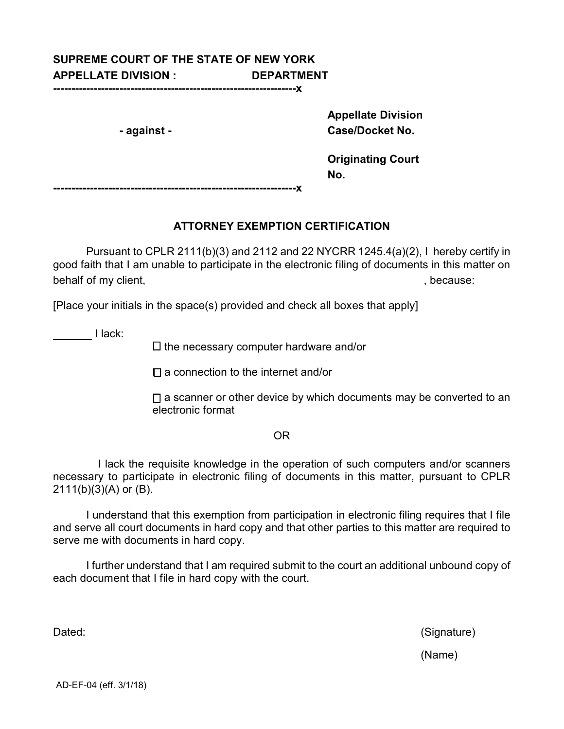## **SUPREME COURT OF THE STATE OF NEW YORK APPELLATE DIVISION : DEPARTMENT**

**------------------------------------------------------------------x**

 **Appellate Division - against - Case/Docket No.**

> **Originating Court No.**

**------------------------------------------------------------------x**

## **ATTORNEY EXEMPTION CERTIFICATION**

Pursuant to CPLR 2111(b)(3) and 2112 and 22 NYCRR 1245.4(a)(2), I hereby certify in good faith that I am unable to participate in the electronic filing of documents in this matter on behalf of my client,  $\blacksquare$ 

[Place your initials in the space(s) provided and check all boxes that apply]

**I** lack:

 $\square$  the necessary computer hardware and/or

 $\square$  a connection to the internet and/or

 $\Box$  a scanner or other device by which documents may be converted to an electronic format

## OR

I lack the requisite knowledge in the operation of such computers and/or scanners necessary to participate in electronic filing of documents in this matter, pursuant to CPLR 2111(b)(3)(A) or (B).

I understand that this exemption from participation in electronic filing requires that I file and serve all court documents in hard copy and that other parties to this matter are required to serve me with documents in hard copy.

I further understand that I am required submit to the court an additional unbound copy of each document that I file in hard copy with the court.

Dated: (Signature)

(Name)